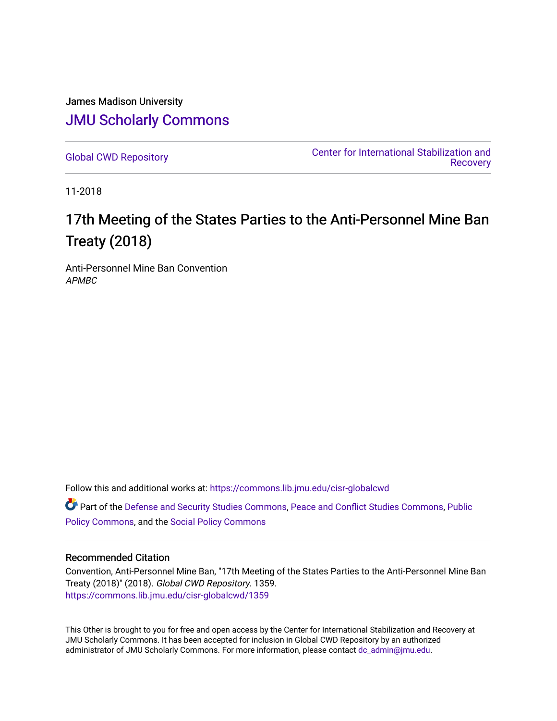James Madison University [JMU Scholarly Commons](https://commons.lib.jmu.edu/)

[Global CWD Repository](https://commons.lib.jmu.edu/cisr-globalcwd) [Center for International Stabilization and](https://commons.lib.jmu.edu/cisr)  **Recovery** 

11-2018

# 17th Meeting of the States Parties to the Anti-Personnel Mine Ban Treaty (2018)

Anti-Personnel Mine Ban Convention APMBC

Follow this and additional works at: [https://commons.lib.jmu.edu/cisr-globalcwd](https://commons.lib.jmu.edu/cisr-globalcwd?utm_source=commons.lib.jmu.edu%2Fcisr-globalcwd%2F1359&utm_medium=PDF&utm_campaign=PDFCoverPages)

Part of the [Defense and Security Studies Commons](http://network.bepress.com/hgg/discipline/394?utm_source=commons.lib.jmu.edu%2Fcisr-globalcwd%2F1359&utm_medium=PDF&utm_campaign=PDFCoverPages), [Peace and Conflict Studies Commons](http://network.bepress.com/hgg/discipline/397?utm_source=commons.lib.jmu.edu%2Fcisr-globalcwd%2F1359&utm_medium=PDF&utm_campaign=PDFCoverPages), [Public](http://network.bepress.com/hgg/discipline/400?utm_source=commons.lib.jmu.edu%2Fcisr-globalcwd%2F1359&utm_medium=PDF&utm_campaign=PDFCoverPages) [Policy Commons](http://network.bepress.com/hgg/discipline/400?utm_source=commons.lib.jmu.edu%2Fcisr-globalcwd%2F1359&utm_medium=PDF&utm_campaign=PDFCoverPages), and the [Social Policy Commons](http://network.bepress.com/hgg/discipline/1030?utm_source=commons.lib.jmu.edu%2Fcisr-globalcwd%2F1359&utm_medium=PDF&utm_campaign=PDFCoverPages)

#### Recommended Citation

Convention, Anti-Personnel Mine Ban, "17th Meeting of the States Parties to the Anti-Personnel Mine Ban Treaty (2018)" (2018). Global CWD Repository. 1359. [https://commons.lib.jmu.edu/cisr-globalcwd/1359](https://commons.lib.jmu.edu/cisr-globalcwd/1359?utm_source=commons.lib.jmu.edu%2Fcisr-globalcwd%2F1359&utm_medium=PDF&utm_campaign=PDFCoverPages) 

This Other is brought to you for free and open access by the Center for International Stabilization and Recovery at JMU Scholarly Commons. It has been accepted for inclusion in Global CWD Repository by an authorized administrator of JMU Scholarly Commons. For more information, please contact [dc\\_admin@jmu.edu](mailto:dc_admin@jmu.edu).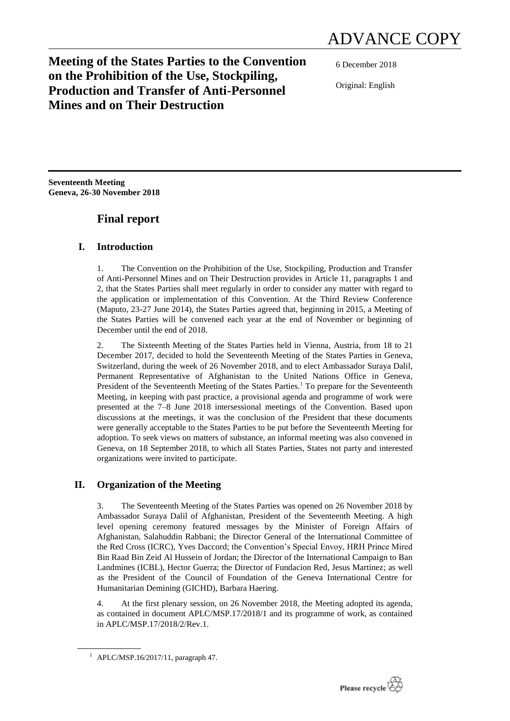# **Meeting of the States Parties to the Convention on the Prohibition of the Use, Stockpiling, Production and Transfer of Anti-Personnel Mines and on Their Destruction**

6 December 2018

Original: English

**Seventeenth Meeting Geneva, 26-30 November 2018**

# **Final report**

## **I. Introduction**

1. The Convention on the Prohibition of the Use, Stockpiling, Production and Transfer of Anti-Personnel Mines and on Their Destruction provides in Article 11, paragraphs 1 and 2, that the States Parties shall meet regularly in order to consider any matter with regard to the application or implementation of this Convention. At the Third Review Conference (Maputo, 23-27 June 2014), the States Parties agreed that, beginning in 2015, a Meeting of the States Parties will be convened each year at the end of November or beginning of December until the end of 2018.

2. The Sixteenth Meeting of the States Parties held in Vienna, Austria, from 18 to 21 December 2017, decided to hold the Seventeenth Meeting of the States Parties in Geneva, Switzerland, during the week of 26 November 2018, and to elect Ambassador Suraya Dalil, Permanent Representative of Afghanistan to the United Nations Office in Geneva, President of the Seventeenth Meeting of the States Parties.<sup>1</sup> To prepare for the Seventeenth Meeting, in keeping with past practice, a provisional agenda and programme of work were presented at the 7–8 June 2018 intersessional meetings of the Convention. Based upon discussions at the meetings, it was the conclusion of the President that these documents were generally acceptable to the States Parties to be put before the Seventeenth Meeting for adoption. To seek views on matters of substance, an informal meeting was also convened in Geneva, on 18 September 2018, to which all States Parties, States not party and interested organizations were invited to participate.

## **II. Organization of the Meeting**

3. The Seventeenth Meeting of the States Parties was opened on 26 November 2018 by Ambassador Suraya Dalil of Afghanistan, President of the Seventeenth Meeting. A high level opening ceremony featured messages by the Minister of Foreign Affairs of Afghanistan, Salahuddin Rabbani; the Director General of the International Committee of the Red Cross (ICRC), Yves Daccord; the Convention's Special Envoy, HRH Prince Mired Bin Raad Bin Zeid Al Hussein of Jordan; the Director of the International Campaign to Ban Landmines (ICBL), Hector Guerra; the Director of Fundacion Red, Jesus Martinez; as well as the President of the Council of Foundation of the Geneva International Centre for Humanitarian Demining (GICHD), Barbara Haering.

4. At the first plenary session, on 26 November 2018, the Meeting adopted its agenda, as contained in document APLC/MSP.17/2018/1 and its programme of work, as contained in APLC/MSP.17/2018/2/Rev.1.



<sup>1</sup> APLC/MSP.16/2017/11, paragraph 47.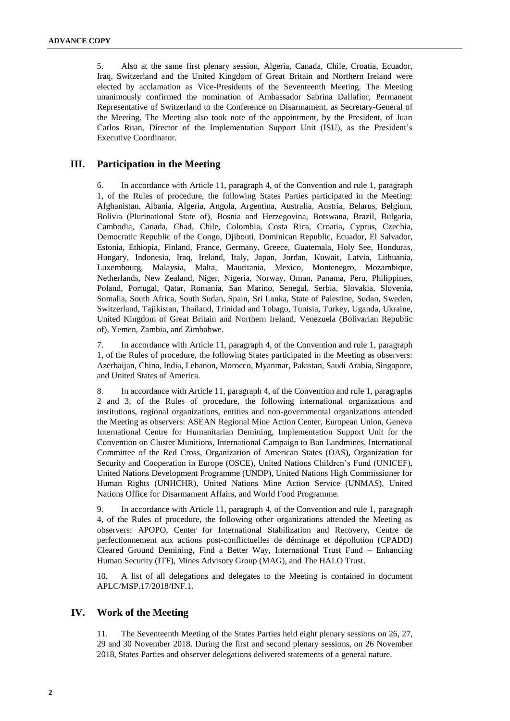5. Also at the same first plenary session, Algeria, Canada, Chile, Croatia, Ecuador, Iraq, Switzerland and the United Kingdom of Great Britain and Northern Ireland were elected by acclamation as Vice-Presidents of the Seventeenth Meeting. The Meeting unanimously confirmed the nomination of Ambassador Sabrina Dallafior, Permanent Representative of Switzerland to the Conference on Disarmament, as Secretary-General of the Meeting. The Meeting also took note of the appointment, by the President, of Juan Carlos Ruan, Director of the Implementation Support Unit (ISU), as the President's Executive Coordinator.

#### **III. Participation in the Meeting**

6. In accordance with Article 11, paragraph 4, of the Convention and rule 1, paragraph 1, of the Rules of procedure, the following States Parties participated in the Meeting: Afghanistan, Albania, Algeria, Angola, Argentina, Australia, Austria, Belarus, Belgium, Bolivia (Plurinational State of), Bosnia and Herzegovina, Botswana, Brazil, Bulgaria, Cambodia, Canada, Chad, Chile, Colombia, Costa Rica, Croatia, Cyprus, Czechia, Democratic Republic of the Congo, Djibouti, Dominican Republic, Ecuador, El Salvador, Estonia, Ethiopia, Finland, France, Germany, Greece, Guatemala, Holy See, Honduras, Hungary, Indonesia, Iraq, Ireland, Italy, Japan, Jordan, Kuwait, Latvia, Lithuania, Luxembourg, Malaysia, Malta, Mauritania, Mexico, Montenegro, Mozambique, Netherlands, New Zealand, Niger, Nigeria, Norway, Oman, Panama, Peru, Philippines, Poland, Portugal, Qatar, Romania, San Marino, Senegal, Serbia, Slovakia, Slovenia, Somalia, South Africa, South Sudan, Spain, Sri Lanka, State of Palestine, Sudan, Sweden, Switzerland, Tajikistan, Thailand, Trinidad and Tobago, Tunisia, Turkey, Uganda, Ukraine, United Kingdom of Great Britain and Northern Ireland, Venezuela (Bolivarian Republic of), Yemen, Zambia, and Zimbabwe.

7. In accordance with Article 11, paragraph 4, of the Convention and rule 1, paragraph 1, of the Rules of procedure, the following States participated in the Meeting as observers: Azerbaijan, China, India, Lebanon, Morocco, Myanmar, Pakistan, Saudi Arabia, Singapore, and United States of America.

8. In accordance with Article 11, paragraph 4, of the Convention and rule 1, paragraphs 2 and 3, of the Rules of procedure, the following international organizations and institutions, regional organizations, entities and non-governmental organizations attended the Meeting as observers: ASEAN Regional Mine Action Center, European Union, Geneva International Centre for Humanitarian Demining, Implementation Support Unit for the Convention on Cluster Munitions, International Campaign to Ban Landmines, International Committee of the Red Cross, Organization of American States (OAS), Organization for Security and Cooperation in Europe (OSCE), United Nations Children's Fund (UNICEF), United Nations Development Programme (UNDP), United Nations High Commissioner for Human Rights (UNHCHR), United Nations Mine Action Service (UNMAS), United Nations Office for Disarmament Affairs, and World Food Programme.

9. In accordance with Article 11, paragraph 4, of the Convention and rule 1, paragraph 4, of the Rules of procedure, the following other organizations attended the Meeting as observers: APOPO, Center for International Stabilization and Recovery, Centre de perfectionnement aux actions post-conflictuelles de déminage et dépollution (CPADD) Cleared Ground Demining, Find a Better Way, International Trust Fund – Enhancing Human Security (ITF), Mines Advisory Group (MAG), and The HALO Trust.

10. A list of all delegations and delegates to the Meeting is contained in document APLC/MSP.17/2018/INF.1.

#### **IV. Work of the Meeting**

11. The Seventeenth Meeting of the States Parties held eight plenary sessions on 26, 27, 29 and 30 November 2018. During the first and second plenary sessions, on 26 November 2018, States Parties and observer delegations delivered statements of a general nature.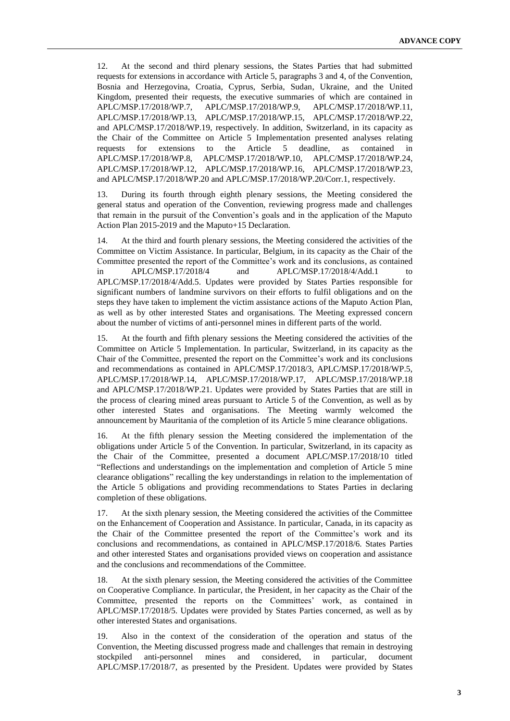12. At the second and third plenary sessions, the States Parties that had submitted requests for extensions in accordance with Article 5, paragraphs 3 and 4, of the Convention, Bosnia and Herzegovina, Croatia, Cyprus, Serbia, Sudan, Ukraine, and the United Kingdom, presented their requests, the executive summaries of which are contained in APLC/MSP.17/2018/WP.7, APLC/MSP.17/2018/WP.9, APLC/MSP.17/2018/WP.11, APLC/MSP.17/2018/WP.13, APLC/MSP.17/2018/WP.15, APLC/MSP.17/2018/WP.22, and APLC/MSP.17/2018/WP.19, respectively. In addition, Switzerland, in its capacity as the Chair of the Committee on Article 5 Implementation presented analyses relating requests for extensions to the Article 5 deadline, as contained in APLC/MSP.17/2018/WP.8, APLC/MSP.17/2018/WP.10, APLC/MSP.17/2018/WP.24, APLC/MSP.17/2018/WP.12, APLC/MSP.17/2018/WP.16, APLC/MSP.17/2018/WP.23, and APLC/MSP.17/2018/WP.20 and APLC/MSP.17/2018/WP.20/Corr.1, respectively.

13. During its fourth through eighth plenary sessions, the Meeting considered the general status and operation of the Convention, reviewing progress made and challenges that remain in the pursuit of the Convention's goals and in the application of the Maputo Action Plan 2015-2019 and the Maputo+15 Declaration.

14. At the third and fourth plenary sessions, the Meeting considered the activities of the Committee on Victim Assistance. In particular, Belgium, in its capacity as the Chair of the Committee presented the report of the Committee's work and its conclusions, as contained in APLC/MSP.17/2018/4 and APLC/MSP.17/2018/4/Add.1 to APLC/MSP.17/2018/4/Add.5. Updates were provided by States Parties responsible for significant numbers of landmine survivors on their efforts to fulfil obligations and on the steps they have taken to implement the victim assistance actions of the Maputo Action Plan, as well as by other interested States and organisations. The Meeting expressed concern about the number of victims of anti-personnel mines in different parts of the world.

15. At the fourth and fifth plenary sessions the Meeting considered the activities of the Committee on Article 5 Implementation. In particular, Switzerland, in its capacity as the Chair of the Committee, presented the report on the Committee's work and its conclusions and recommendations as contained in APLC/MSP.17/2018/3, APLC/MSP.17/2018/WP.5, APLC/MSP.17/2018/WP.14, APLC/MSP.17/2018/WP.17, APLC/MSP.17/2018/WP.18 and APLC/MSP.17/2018/WP.21. Updates were provided by States Parties that are still in the process of clearing mined areas pursuant to Article 5 of the Convention, as well as by other interested States and organisations. The Meeting warmly welcomed the announcement by Mauritania of the completion of its Article 5 mine clearance obligations.

16. At the fifth plenary session the Meeting considered the implementation of the obligations under Article 5 of the Convention. In particular, Switzerland, in its capacity as the Chair of the Committee, presented a document APLC/MSP.17/2018/10 titled "Reflections and understandings on the implementation and completion of Article 5 mine clearance obligations" recalling the key understandings in relation to the implementation of the Article 5 obligations and providing recommendations to States Parties in declaring completion of these obligations.

17. At the sixth plenary session, the Meeting considered the activities of the Committee on the Enhancement of Cooperation and Assistance. In particular, Canada, in its capacity as the Chair of the Committee presented the report of the Committee's work and its conclusions and recommendations, as contained in APLC/MSP.17/2018/6. States Parties and other interested States and organisations provided views on cooperation and assistance and the conclusions and recommendations of the Committee.

18. At the sixth plenary session, the Meeting considered the activities of the Committee on Cooperative Compliance. In particular, the President, in her capacity as the Chair of the Committee, presented the reports on the Committees' work, as contained in APLC/MSP.17/2018/5. Updates were provided by States Parties concerned, as well as by other interested States and organisations.

19. Also in the context of the consideration of the operation and status of the Convention, the Meeting discussed progress made and challenges that remain in destroying stockpiled anti-personnel mines and considered, in particular, document APLC/MSP.17/2018/7, as presented by the President. Updates were provided by States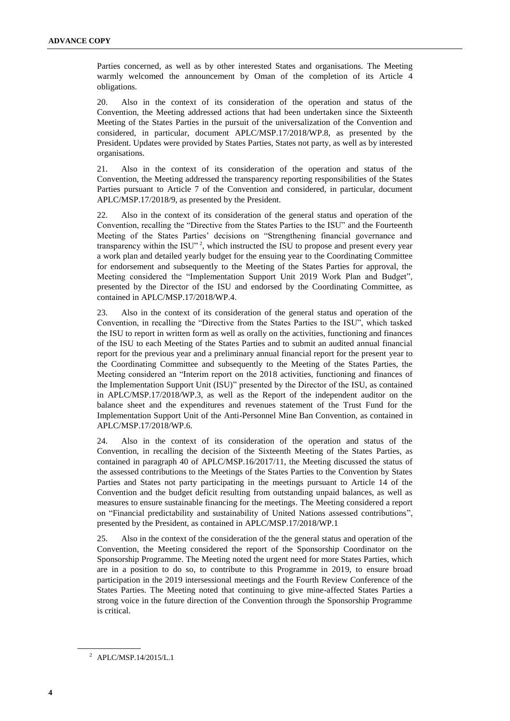Parties concerned, as well as by other interested States and organisations. The Meeting warmly welcomed the announcement by Oman of the completion of its Article 4 obligations.

20. Also in the context of its consideration of the operation and status of the Convention, the Meeting addressed actions that had been undertaken since the Sixteenth Meeting of the States Parties in the pursuit of the universalization of the Convention and considered, in particular, document APLC/MSP.17/2018/WP.8, as presented by the President. Updates were provided by States Parties, States not party, as well as by interested organisations.

21. Also in the context of its consideration of the operation and status of the Convention, the Meeting addressed the transparency reporting responsibilities of the States Parties pursuant to Article 7 of the Convention and considered, in particular, document APLC/MSP.17/2018/9, as presented by the President.

22. Also in the context of its consideration of the general status and operation of the Convention, recalling the "Directive from the States Parties to the ISU" and the Fourteenth Meeting of the States Parties' decisions on "Strengthening financial governance and transparency within the ISU"<sup>2</sup>, which instructed the ISU to propose and present every year a work plan and detailed yearly budget for the ensuing year to the Coordinating Committee for endorsement and subsequently to the Meeting of the States Parties for approval, the Meeting considered the "Implementation Support Unit 2019 Work Plan and Budget", presented by the Director of the ISU and endorsed by the Coordinating Committee, as contained in APLC/MSP.17/2018/WP.4.

23. Also in the context of its consideration of the general status and operation of the Convention, in recalling the "Directive from the States Parties to the ISU", which tasked the ISU to report in written form as well as orally on the activities, functioning and finances of the ISU to each Meeting of the States Parties and to submit an audited annual financial report for the previous year and a preliminary annual financial report for the present year to the Coordinating Committee and subsequently to the Meeting of the States Parties, the Meeting considered an "Interim report on the 2018 activities, functioning and finances of the Implementation Support Unit (ISU)" presented by the Director of the ISU, as contained in APLC/MSP.17/2018/WP.3, as well as the Report of the independent auditor on the balance sheet and the expenditures and revenues statement of the Trust Fund for the Implementation Support Unit of the Anti-Personnel Mine Ban Convention, as contained in APLC/MSP.17/2018/WP.6.

24. Also in the context of its consideration of the operation and status of the Convention, in recalling the decision of the Sixteenth Meeting of the States Parties, as contained in paragraph 40 of APLC/MSP.16/2017/11, the Meeting discussed the status of the assessed contributions to the Meetings of the States Parties to the Convention by States Parties and States not party participating in the meetings pursuant to Article 14 of the Convention and the budget deficit resulting from outstanding unpaid balances, as well as measures to ensure sustainable financing for the meetings. The Meeting considered a report on "Financial predictability and sustainability of United Nations assessed contributions", presented by the President, as contained in APLC/MSP.17/2018/WP.1

25. Also in the context of the consideration of the the general status and operation of the Convention, the Meeting considered the report of the Sponsorship Coordinator on the Sponsorship Programme. The Meeting noted the urgent need for more States Parties, which are in a position to do so, to contribute to this Programme in 2019, to ensure broad participation in the 2019 intersessional meetings and the Fourth Review Conference of the States Parties. The Meeting noted that continuing to give mine-affected States Parties a strong voice in the future direction of the Convention through the Sponsorship Programme is critical.

<sup>2</sup> APLC/MSP.14/2015/L.1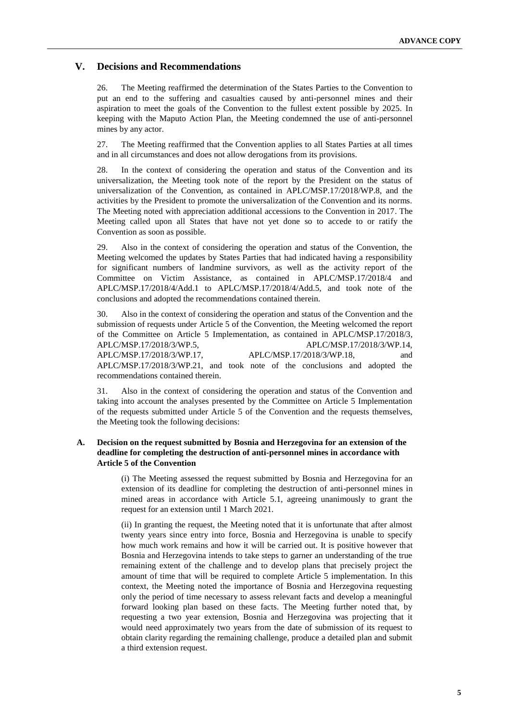#### **V. Decisions and Recommendations**

26. The Meeting reaffirmed the determination of the States Parties to the Convention to put an end to the suffering and casualties caused by anti-personnel mines and their aspiration to meet the goals of the Convention to the fullest extent possible by 2025. In keeping with the Maputo Action Plan, the Meeting condemned the use of anti-personnel mines by any actor.

27. The Meeting reaffirmed that the Convention applies to all States Parties at all times and in all circumstances and does not allow derogations from its provisions.

28. In the context of considering the operation and status of the Convention and its universalization, the Meeting took note of the report by the President on the status of universalization of the Convention, as contained in APLC/MSP.17/2018/WP.8, and the activities by the President to promote the universalization of the Convention and its norms. The Meeting noted with appreciation additional accessions to the Convention in 2017. The Meeting called upon all States that have not yet done so to accede to or ratify the Convention as soon as possible.

29. Also in the context of considering the operation and status of the Convention, the Meeting welcomed the updates by States Parties that had indicated having a responsibility for significant numbers of landmine survivors, as well as the activity report of the Committee on Victim Assistance, as contained in APLC/MSP.17/2018/4 and APLC/MSP.17/2018/4/Add.1 to APLC/MSP.17/2018/4/Add.5, and took note of the conclusions and adopted the recommendations contained therein.

30. Also in the context of considering the operation and status of the Convention and the submission of requests under Article 5 of the Convention, the Meeting welcomed the report of the Committee on Article 5 Implementation, as contained in APLC/MSP.17/2018/3, APLC/MSP.17/2018/3/WP.5, APLC/MSP.17/2018/3/WP.14, APLC/MSP.17/2018/3/WP.17, APLC/MSP.17/2018/3/WP.18, and APLC/MSP.17/2018/3/WP.21, and took note of the conclusions and adopted the recommendations contained therein.

31. Also in the context of considering the operation and status of the Convention and taking into account the analyses presented by the Committee on Article 5 Implementation of the requests submitted under Article 5 of the Convention and the requests themselves, the Meeting took the following decisions:

#### **A. Decision on the request submitted by Bosnia and Herzegovina for an extension of the deadline for completing the destruction of anti-personnel mines in accordance with Article 5 of the Convention**

(i) The Meeting assessed the request submitted by Bosnia and Herzegovina for an extension of its deadline for completing the destruction of anti-personnel mines in mined areas in accordance with Article 5.1, agreeing unanimously to grant the request for an extension until 1 March 2021.

(ii) In granting the request, the Meeting noted that it is unfortunate that after almost twenty years since entry into force, Bosnia and Herzegovina is unable to specify how much work remains and how it will be carried out. It is positive however that Bosnia and Herzegovina intends to take steps to garner an understanding of the true remaining extent of the challenge and to develop plans that precisely project the amount of time that will be required to complete Article 5 implementation. In this context, the Meeting noted the importance of Bosnia and Herzegovina requesting only the period of time necessary to assess relevant facts and develop a meaningful forward looking plan based on these facts. The Meeting further noted that, by requesting a two year extension, Bosnia and Herzegovina was projecting that it would need approximately two years from the date of submission of its request to obtain clarity regarding the remaining challenge, produce a detailed plan and submit a third extension request.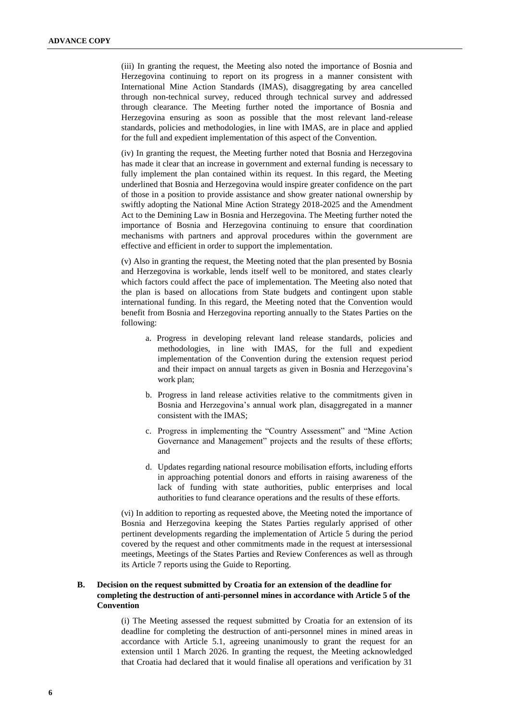(iii) In granting the request, the Meeting also noted the importance of Bosnia and Herzegovina continuing to report on its progress in a manner consistent with International Mine Action Standards (IMAS), disaggregating by area cancelled through non-technical survey, reduced through technical survey and addressed through clearance. The Meeting further noted the importance of Bosnia and Herzegovina ensuring as soon as possible that the most relevant land-release standards, policies and methodologies, in line with IMAS, are in place and applied for the full and expedient implementation of this aspect of the Convention.

(iv) In granting the request, the Meeting further noted that Bosnia and Herzegovina has made it clear that an increase in government and external funding is necessary to fully implement the plan contained within its request. In this regard, the Meeting underlined that Bosnia and Herzegovina would inspire greater confidence on the part of those in a position to provide assistance and show greater national ownership by swiftly adopting the National Mine Action Strategy 2018-2025 and the Amendment Act to the Demining Law in Bosnia and Herzegovina. The Meeting further noted the importance of Bosnia and Herzegovina continuing to ensure that coordination mechanisms with partners and approval procedures within the government are effective and efficient in order to support the implementation.

(v) Also in granting the request, the Meeting noted that the plan presented by Bosnia and Herzegovina is workable, lends itself well to be monitored, and states clearly which factors could affect the pace of implementation. The Meeting also noted that the plan is based on allocations from State budgets and contingent upon stable international funding. In this regard, the Meeting noted that the Convention would benefit from Bosnia and Herzegovina reporting annually to the States Parties on the following:

- a. Progress in developing relevant land release standards, policies and methodologies, in line with IMAS, for the full and expedient implementation of the Convention during the extension request period and their impact on annual targets as given in Bosnia and Herzegovina's work plan;
- b. Progress in land release activities relative to the commitments given in Bosnia and Herzegovina's annual work plan, disaggregated in a manner consistent with the IMAS;
- c. Progress in implementing the "Country Assessment" and "Mine Action Governance and Management" projects and the results of these efforts; and
- d. Updates regarding national resource mobilisation efforts, including efforts in approaching potential donors and efforts in raising awareness of the lack of funding with state authorities, public enterprises and local authorities to fund clearance operations and the results of these efforts.

(vi) In addition to reporting as requested above, the Meeting noted the importance of Bosnia and Herzegovina keeping the States Parties regularly apprised of other pertinent developments regarding the implementation of Article 5 during the period covered by the request and other commitments made in the request at intersessional meetings, Meetings of the States Parties and Review Conferences as well as through its Article 7 reports using the Guide to Reporting.

#### **B. Decision on the request submitted by Croatia for an extension of the deadline for completing the destruction of anti-personnel mines in accordance with Article 5 of the Convention**

(i) The Meeting assessed the request submitted by Croatia for an extension of its deadline for completing the destruction of anti-personnel mines in mined areas in accordance with Article 5.1, agreeing unanimously to grant the request for an extension until 1 March 2026. In granting the request, the Meeting acknowledged that Croatia had declared that it would finalise all operations and verification by 31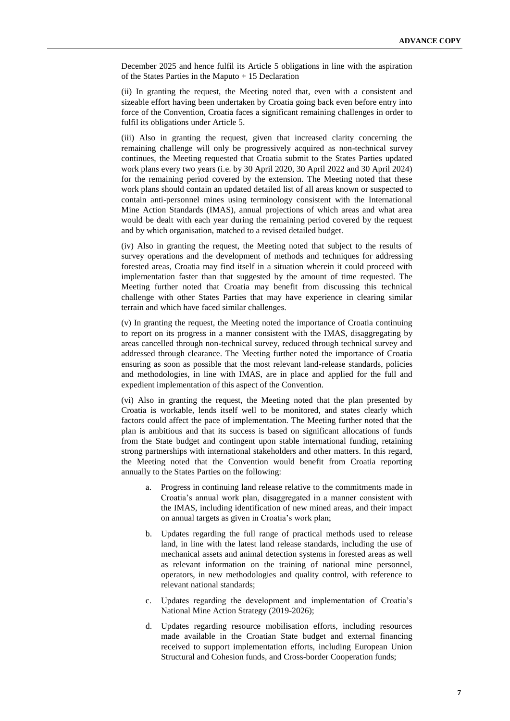December 2025 and hence fulfil its Article 5 obligations in line with the aspiration of the States Parties in the Maputo + 15 Declaration

(ii) In granting the request, the Meeting noted that, even with a consistent and sizeable effort having been undertaken by Croatia going back even before entry into force of the Convention, Croatia faces a significant remaining challenges in order to fulfil its obligations under Article 5.

(iii) Also in granting the request, given that increased clarity concerning the remaining challenge will only be progressively acquired as non-technical survey continues, the Meeting requested that Croatia submit to the States Parties updated work plans every two years (i.e. by 30 April 2020, 30 April 2022 and 30 April 2024) for the remaining period covered by the extension. The Meeting noted that these work plans should contain an updated detailed list of all areas known or suspected to contain anti-personnel mines using terminology consistent with the International Mine Action Standards (IMAS), annual projections of which areas and what area would be dealt with each year during the remaining period covered by the request and by which organisation, matched to a revised detailed budget.

(iv) Also in granting the request, the Meeting noted that subject to the results of survey operations and the development of methods and techniques for addressing forested areas, Croatia may find itself in a situation wherein it could proceed with implementation faster than that suggested by the amount of time requested. The Meeting further noted that Croatia may benefit from discussing this technical challenge with other States Parties that may have experience in clearing similar terrain and which have faced similar challenges.

(v) In granting the request, the Meeting noted the importance of Croatia continuing to report on its progress in a manner consistent with the IMAS, disaggregating by areas cancelled through non-technical survey, reduced through technical survey and addressed through clearance. The Meeting further noted the importance of Croatia ensuring as soon as possible that the most relevant land-release standards, policies and methodologies, in line with IMAS, are in place and applied for the full and expedient implementation of this aspect of the Convention.

(vi) Also in granting the request, the Meeting noted that the plan presented by Croatia is workable, lends itself well to be monitored, and states clearly which factors could affect the pace of implementation. The Meeting further noted that the plan is ambitious and that its success is based on significant allocations of funds from the State budget and contingent upon stable international funding, retaining strong partnerships with international stakeholders and other matters. In this regard, the Meeting noted that the Convention would benefit from Croatia reporting annually to the States Parties on the following:

- Progress in continuing land release relative to the commitments made in Croatia's annual work plan, disaggregated in a manner consistent with the IMAS, including identification of new mined areas, and their impact on annual targets as given in Croatia's work plan;
- b. Updates regarding the full range of practical methods used to release land, in line with the latest land release standards, including the use of mechanical assets and animal detection systems in forested areas as well as relevant information on the training of national mine personnel, operators, in new methodologies and quality control, with reference to relevant national standards;
- c. Updates regarding the development and implementation of Croatia's National Mine Action Strategy (2019-2026);
- d. Updates regarding resource mobilisation efforts, including resources made available in the Croatian State budget and external financing received to support implementation efforts, including European Union Structural and Cohesion funds, and Cross-border Cooperation funds;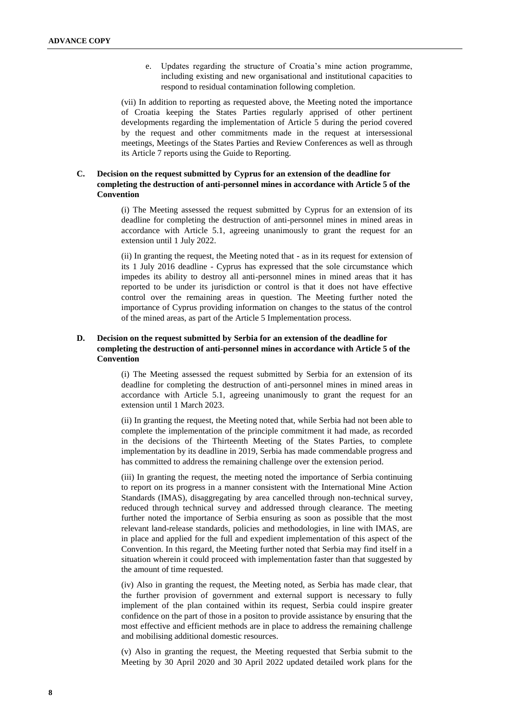e. Updates regarding the structure of Croatia's mine action programme, including existing and new organisational and institutional capacities to respond to residual contamination following completion.

(vii) In addition to reporting as requested above, the Meeting noted the importance of Croatia keeping the States Parties regularly apprised of other pertinent developments regarding the implementation of Article 5 during the period covered by the request and other commitments made in the request at intersessional meetings, Meetings of the States Parties and Review Conferences as well as through its Article 7 reports using the Guide to Reporting.

#### **C. Decision on the request submitted by Cyprus for an extension of the deadline for completing the destruction of anti-personnel mines in accordance with Article 5 of the Convention**

(i) The Meeting assessed the request submitted by Cyprus for an extension of its deadline for completing the destruction of anti-personnel mines in mined areas in accordance with Article 5.1, agreeing unanimously to grant the request for an extension until 1 July 2022.

(ii) In granting the request, the Meeting noted that - as in its request for extension of its 1 July 2016 deadline - Cyprus has expressed that the sole circumstance which impedes its ability to destroy all anti-personnel mines in mined areas that it has reported to be under its jurisdiction or control is that it does not have effective control over the remaining areas in question. The Meeting further noted the importance of Cyprus providing information on changes to the status of the control of the mined areas, as part of the Article 5 Implementation process.

#### **D. Decision on the request submitted by Serbia for an extension of the deadline for completing the destruction of anti-personnel mines in accordance with Article 5 of the Convention**

(i) The Meeting assessed the request submitted by Serbia for an extension of its deadline for completing the destruction of anti-personnel mines in mined areas in accordance with Article 5.1, agreeing unanimously to grant the request for an extension until 1 March 2023.

(ii) In granting the request, the Meeting noted that, while Serbia had not been able to complete the implementation of the principle commitment it had made, as recorded in the decisions of the Thirteenth Meeting of the States Parties, to complete implementation by its deadline in 2019, Serbia has made commendable progress and has committed to address the remaining challenge over the extension period.

(iii) In granting the request, the meeting noted the importance of Serbia continuing to report on its progress in a manner consistent with the International Mine Action Standards (IMAS), disaggregating by area cancelled through non-technical survey, reduced through technical survey and addressed through clearance. The meeting further noted the importance of Serbia ensuring as soon as possible that the most relevant land-release standards, policies and methodologies, in line with IMAS, are in place and applied for the full and expedient implementation of this aspect of the Convention. In this regard, the Meeting further noted that Serbia may find itself in a situation wherein it could proceed with implementation faster than that suggested by the amount of time requested.

(iv) Also in granting the request, the Meeting noted, as Serbia has made clear, that the further provision of government and external support is necessary to fully implement of the plan contained within its request, Serbia could inspire greater confidence on the part of those in a positon to provide assistance by ensuring that the most effective and efficient methods are in place to address the remaining challenge and mobilising additional domestic resources.

(v) Also in granting the request, the Meeting requested that Serbia submit to the Meeting by 30 April 2020 and 30 April 2022 updated detailed work plans for the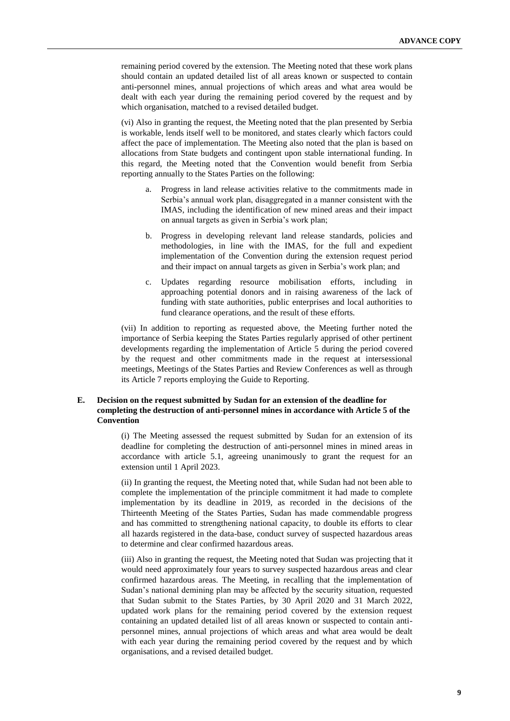remaining period covered by the extension. The Meeting noted that these work plans should contain an updated detailed list of all areas known or suspected to contain anti-personnel mines, annual projections of which areas and what area would be dealt with each year during the remaining period covered by the request and by which organisation, matched to a revised detailed budget.

(vi) Also in granting the request, the Meeting noted that the plan presented by Serbia is workable, lends itself well to be monitored, and states clearly which factors could affect the pace of implementation. The Meeting also noted that the plan is based on allocations from State budgets and contingent upon stable international funding. In this regard, the Meeting noted that the Convention would benefit from Serbia reporting annually to the States Parties on the following:

- Progress in land release activities relative to the commitments made in Serbia's annual work plan, disaggregated in a manner consistent with the IMAS, including the identification of new mined areas and their impact on annual targets as given in Serbia's work plan;
- b. Progress in developing relevant land release standards, policies and methodologies, in line with the IMAS, for the full and expedient implementation of the Convention during the extension request period and their impact on annual targets as given in Serbia's work plan; and
- c. Updates regarding resource mobilisation efforts, including in approaching potential donors and in raising awareness of the lack of funding with state authorities, public enterprises and local authorities to fund clearance operations, and the result of these efforts.

(vii) In addition to reporting as requested above, the Meeting further noted the importance of Serbia keeping the States Parties regularly apprised of other pertinent developments regarding the implementation of Article 5 during the period covered by the request and other commitments made in the request at intersessional meetings, Meetings of the States Parties and Review Conferences as well as through its Article 7 reports employing the Guide to Reporting.

#### **E. Decision on the request submitted by Sudan for an extension of the deadline for completing the destruction of anti-personnel mines in accordance with Article 5 of the Convention**

(i) The Meeting assessed the request submitted by Sudan for an extension of its deadline for completing the destruction of anti-personnel mines in mined areas in accordance with article 5.1, agreeing unanimously to grant the request for an extension until 1 April 2023.

(ii) In granting the request, the Meeting noted that, while Sudan had not been able to complete the implementation of the principle commitment it had made to complete implementation by its deadline in 2019, as recorded in the decisions of the Thirteenth Meeting of the States Parties, Sudan has made commendable progress and has committed to strengthening national capacity, to double its efforts to clear all hazards registered in the data-base, conduct survey of suspected hazardous areas to determine and clear confirmed hazardous areas.

(iii) Also in granting the request, the Meeting noted that Sudan was projecting that it would need approximately four years to survey suspected hazardous areas and clear confirmed hazardous areas. The Meeting, in recalling that the implementation of Sudan's national demining plan may be affected by the security situation, requested that Sudan submit to the States Parties, by 30 April 2020 and 31 March 2022, updated work plans for the remaining period covered by the extension request containing an updated detailed list of all areas known or suspected to contain antipersonnel mines, annual projections of which areas and what area would be dealt with each year during the remaining period covered by the request and by which organisations, and a revised detailed budget.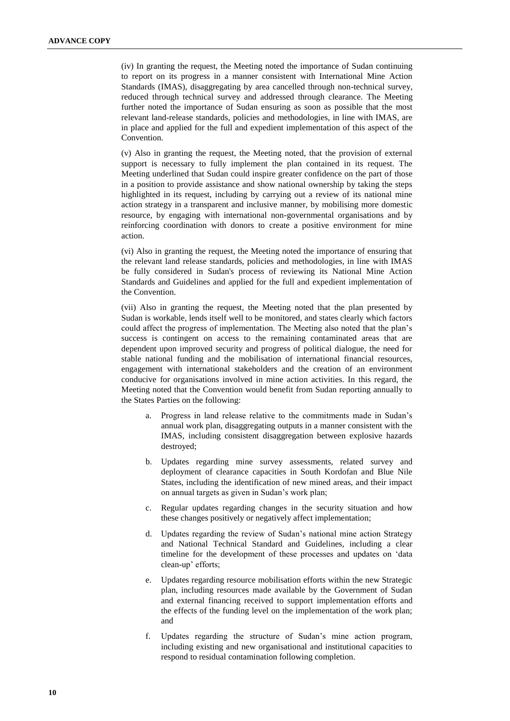(iv) In granting the request, the Meeting noted the importance of Sudan continuing to report on its progress in a manner consistent with International Mine Action Standards (IMAS), disaggregating by area cancelled through non-technical survey, reduced through technical survey and addressed through clearance. The Meeting further noted the importance of Sudan ensuring as soon as possible that the most relevant land-release standards, policies and methodologies, in line with IMAS, are in place and applied for the full and expedient implementation of this aspect of the **Convention** 

(v) Also in granting the request, the Meeting noted, that the provision of external support is necessary to fully implement the plan contained in its request. The Meeting underlined that Sudan could inspire greater confidence on the part of those in a position to provide assistance and show national ownership by taking the steps highlighted in its request, including by carrying out a review of its national mine action strategy in a transparent and inclusive manner, by mobilising more domestic resource, by engaging with international non-governmental organisations and by reinforcing coordination with donors to create a positive environment for mine action.

(vi) Also in granting the request, the Meeting noted the importance of ensuring that the relevant land release standards, policies and methodologies, in line with IMAS be fully considered in Sudan's process of reviewing its National Mine Action Standards and Guidelines and applied for the full and expedient implementation of the Convention.

(vii) Also in granting the request, the Meeting noted that the plan presented by Sudan is workable, lends itself well to be monitored, and states clearly which factors could affect the progress of implementation. The Meeting also noted that the plan's success is contingent on access to the remaining contaminated areas that are dependent upon improved security and progress of political dialogue, the need for stable national funding and the mobilisation of international financial resources, engagement with international stakeholders and the creation of an environment conducive for organisations involved in mine action activities. In this regard, the Meeting noted that the Convention would benefit from Sudan reporting annually to the States Parties on the following:

- a. Progress in land release relative to the commitments made in Sudan's annual work plan, disaggregating outputs in a manner consistent with the IMAS, including consistent disaggregation between explosive hazards destroyed;
- b. Updates regarding mine survey assessments, related survey and deployment of clearance capacities in South Kordofan and Blue Nile States, including the identification of new mined areas, and their impact on annual targets as given in Sudan's work plan;
- c. Regular updates regarding changes in the security situation and how these changes positively or negatively affect implementation;
- d. Updates regarding the review of Sudan's national mine action Strategy and National Technical Standard and Guidelines, including a clear timeline for the development of these processes and updates on 'data clean-up' efforts;
- e. Updates regarding resource mobilisation efforts within the new Strategic plan, including resources made available by the Government of Sudan and external financing received to support implementation efforts and the effects of the funding level on the implementation of the work plan; and
- f. Updates regarding the structure of Sudan's mine action program, including existing and new organisational and institutional capacities to respond to residual contamination following completion.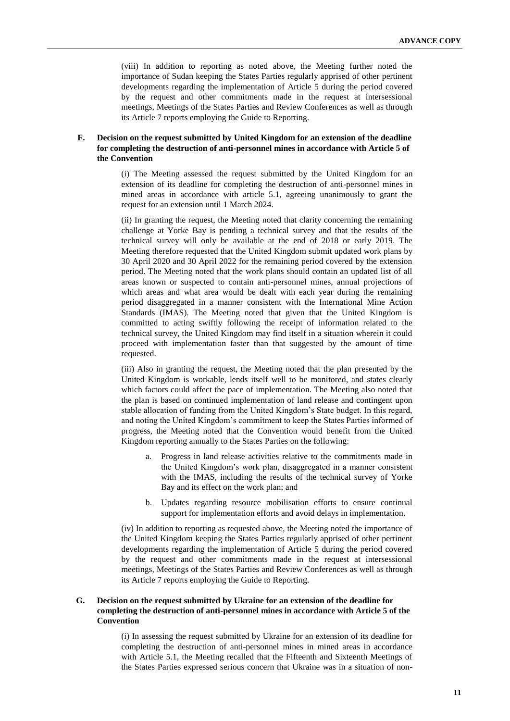(viii) In addition to reporting as noted above, the Meeting further noted the importance of Sudan keeping the States Parties regularly apprised of other pertinent developments regarding the implementation of Article 5 during the period covered by the request and other commitments made in the request at intersessional meetings, Meetings of the States Parties and Review Conferences as well as through its Article 7 reports employing the Guide to Reporting.

#### **F. Decision on the request submitted by United Kingdom for an extension of the deadline for completing the destruction of anti-personnel mines in accordance with Article 5 of the Convention**

(i) The Meeting assessed the request submitted by the United Kingdom for an extension of its deadline for completing the destruction of anti-personnel mines in mined areas in accordance with article 5.1, agreeing unanimously to grant the request for an extension until 1 March 2024.

(ii) In granting the request, the Meeting noted that clarity concerning the remaining challenge at Yorke Bay is pending a technical survey and that the results of the technical survey will only be available at the end of 2018 or early 2019. The Meeting therefore requested that the United Kingdom submit updated work plans by 30 April 2020 and 30 April 2022 for the remaining period covered by the extension period. The Meeting noted that the work plans should contain an updated list of all areas known or suspected to contain anti-personnel mines, annual projections of which areas and what area would be dealt with each year during the remaining period disaggregated in a manner consistent with the International Mine Action Standards (IMAS). The Meeting noted that given that the United Kingdom is committed to acting swiftly following the receipt of information related to the technical survey, the United Kingdom may find itself in a situation wherein it could proceed with implementation faster than that suggested by the amount of time requested.

(iii) Also in granting the request, the Meeting noted that the plan presented by the United Kingdom is workable, lends itself well to be monitored, and states clearly which factors could affect the pace of implementation. The Meeting also noted that the plan is based on continued implementation of land release and contingent upon stable allocation of funding from the United Kingdom's State budget. In this regard, and noting the United Kingdom's commitment to keep the States Parties informed of progress, the Meeting noted that the Convention would benefit from the United Kingdom reporting annually to the States Parties on the following:

- a. Progress in land release activities relative to the commitments made in the United Kingdom's work plan, disaggregated in a manner consistent with the IMAS, including the results of the technical survey of Yorke Bay and its effect on the work plan; and
- b. Updates regarding resource mobilisation efforts to ensure continual support for implementation efforts and avoid delays in implementation.

(iv) In addition to reporting as requested above, the Meeting noted the importance of the United Kingdom keeping the States Parties regularly apprised of other pertinent developments regarding the implementation of Article 5 during the period covered by the request and other commitments made in the request at intersessional meetings, Meetings of the States Parties and Review Conferences as well as through its Article 7 reports employing the Guide to Reporting.

#### **G. Decision on the request submitted by Ukraine for an extension of the deadline for completing the destruction of anti-personnel mines in accordance with Article 5 of the Convention**

(i) In assessing the request submitted by Ukraine for an extension of its deadline for completing the destruction of anti-personnel mines in mined areas in accordance with Article 5.1, the Meeting recalled that the Fifteenth and Sixteenth Meetings of the States Parties expressed serious concern that Ukraine was in a situation of non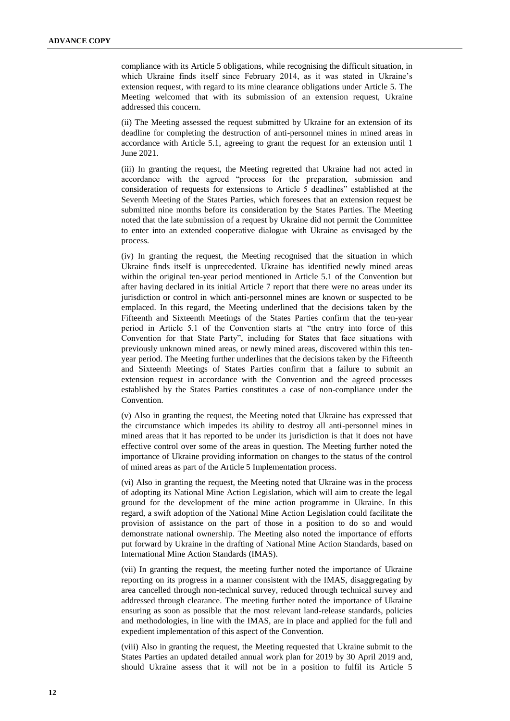compliance with its Article 5 obligations, while recognising the difficult situation, in which Ukraine finds itself since February 2014, as it was stated in Ukraine's extension request, with regard to its mine clearance obligations under Article 5. The Meeting welcomed that with its submission of an extension request, Ukraine addressed this concern.

(ii) The Meeting assessed the request submitted by Ukraine for an extension of its deadline for completing the destruction of anti-personnel mines in mined areas in accordance with Article 5.1, agreeing to grant the request for an extension until 1 June 2021.

(iii) In granting the request, the Meeting regretted that Ukraine had not acted in accordance with the agreed "process for the preparation, submission and consideration of requests for extensions to Article 5 deadlines" established at the Seventh Meeting of the States Parties, which foresees that an extension request be submitted nine months before its consideration by the States Parties. The Meeting noted that the late submission of a request by Ukraine did not permit the Committee to enter into an extended cooperative dialogue with Ukraine as envisaged by the process.

(iv) In granting the request, the Meeting recognised that the situation in which Ukraine finds itself is unprecedented. Ukraine has identified newly mined areas within the original ten-year period mentioned in Article 5.1 of the Convention but after having declared in its initial Article 7 report that there were no areas under its jurisdiction or control in which anti-personnel mines are known or suspected to be emplaced. In this regard, the Meeting underlined that the decisions taken by the Fifteenth and Sixteenth Meetings of the States Parties confirm that the ten-year period in Article 5.1 of the Convention starts at "the entry into force of this Convention for that State Party", including for States that face situations with previously unknown mined areas, or newly mined areas, discovered within this tenyear period. The Meeting further underlines that the decisions taken by the Fifteenth and Sixteenth Meetings of States Parties confirm that a failure to submit an extension request in accordance with the Convention and the agreed processes established by the States Parties constitutes a case of non-compliance under the Convention.

(v) Also in granting the request, the Meeting noted that Ukraine has expressed that the circumstance which impedes its ability to destroy all anti-personnel mines in mined areas that it has reported to be under its jurisdiction is that it does not have effective control over some of the areas in question. The Meeting further noted the importance of Ukraine providing information on changes to the status of the control of mined areas as part of the Article 5 Implementation process.

(vi) Also in granting the request, the Meeting noted that Ukraine was in the process of adopting its National Mine Action Legislation, which will aim to create the legal ground for the development of the mine action programme in Ukraine. In this regard, a swift adoption of the National Mine Action Legislation could facilitate the provision of assistance on the part of those in a position to do so and would demonstrate national ownership. The Meeting also noted the importance of efforts put forward by Ukraine in the drafting of National Mine Action Standards, based on International Mine Action Standards (IMAS).

(vii) In granting the request, the meeting further noted the importance of Ukraine reporting on its progress in a manner consistent with the IMAS, disaggregating by area cancelled through non-technical survey, reduced through technical survey and addressed through clearance. The meeting further noted the importance of Ukraine ensuring as soon as possible that the most relevant land-release standards, policies and methodologies, in line with the IMAS, are in place and applied for the full and expedient implementation of this aspect of the Convention.

(viii) Also in granting the request, the Meeting requested that Ukraine submit to the States Parties an updated detailed annual work plan for 2019 by 30 April 2019 and, should Ukraine assess that it will not be in a position to fulfil its Article 5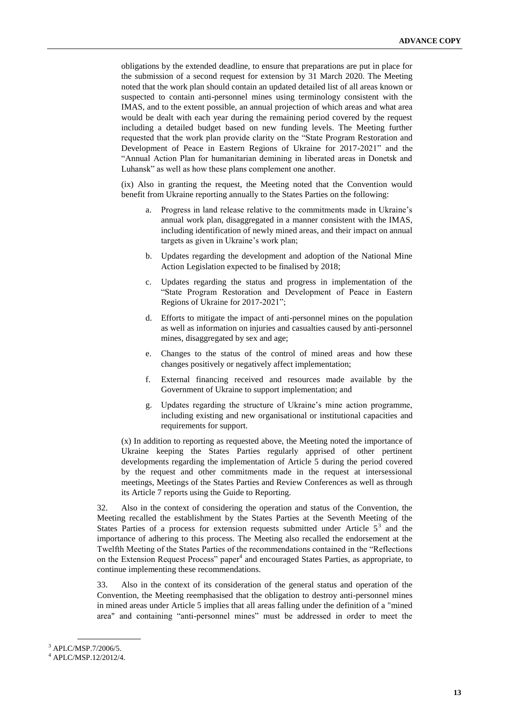obligations by the extended deadline, to ensure that preparations are put in place for the submission of a second request for extension by 31 March 2020. The Meeting noted that the work plan should contain an updated detailed list of all areas known or suspected to contain anti-personnel mines using terminology consistent with the IMAS, and to the extent possible, an annual projection of which areas and what area would be dealt with each year during the remaining period covered by the request including a detailed budget based on new funding levels. The Meeting further requested that the work plan provide clarity on the "State Program Restoration and Development of Peace in Eastern Regions of Ukraine for 2017-2021" and the "Annual Action Plan for humanitarian demining in liberated areas in Donetsk and Luhansk" as well as how these plans complement one another.

(ix) Also in granting the request, the Meeting noted that the Convention would benefit from Ukraine reporting annually to the States Parties on the following:

- a. Progress in land release relative to the commitments made in Ukraine's annual work plan, disaggregated in a manner consistent with the IMAS, including identification of newly mined areas, and their impact on annual targets as given in Ukraine's work plan;
- b. Updates regarding the development and adoption of the National Mine Action Legislation expected to be finalised by 2018;
- c. Updates regarding the status and progress in implementation of the "State Program Restoration and Development of Peace in Eastern Regions of Ukraine for 2017-2021";
- d. Efforts to mitigate the impact of anti-personnel mines on the population as well as information on injuries and casualties caused by anti-personnel mines, disaggregated by sex and age;
- e. Changes to the status of the control of mined areas and how these changes positively or negatively affect implementation;
- f. External financing received and resources made available by the Government of Ukraine to support implementation; and
- g. Updates regarding the structure of Ukraine's mine action programme, including existing and new organisational or institutional capacities and requirements for support.

(x) In addition to reporting as requested above, the Meeting noted the importance of Ukraine keeping the States Parties regularly apprised of other pertinent developments regarding the implementation of Article 5 during the period covered by the request and other commitments made in the request at intersessional meetings, Meetings of the States Parties and Review Conferences as well as through its Article 7 reports using the Guide to Reporting.

32. Also in the context of considering the operation and status of the Convention, the Meeting recalled the establishment by the States Parties at the Seventh Meeting of the States Parties of a process for extension requests submitted under Article  $5<sup>3</sup>$  and the importance of adhering to this process. The Meeting also recalled the endorsement at the Twelfth Meeting of the States Parties of the recommendations contained in the "Reflections on the Extension Request Process" paper<sup>4</sup> and encouraged States Parties, as appropriate, to continue implementing these recommendations.

33. Also in the context of its consideration of the general status and operation of the Convention, the Meeting reemphasised that the obligation to destroy anti-personnel mines in mined areas under Article 5 implies that all areas falling under the definition of a "mined area" and containing "anti-personnel mines" must be addressed in order to meet the

<sup>3</sup> APLC/MSP.7/2006/5.

<sup>4</sup> APLC/MSP.12/2012/4.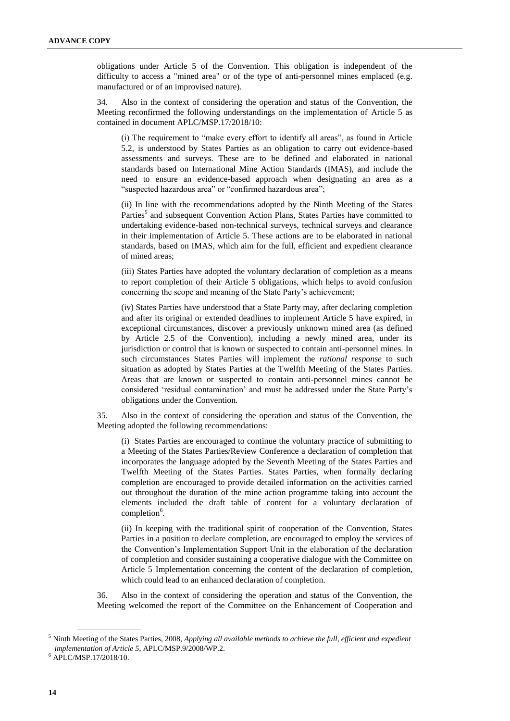obligations under Article 5 of the Convention. This obligation is independent of the difficulty to access a "mined area" or of the type of anti-personnel mines emplaced (e.g. manufactured or of an improvised nature).

34. Also in the context of considering the operation and status of the Convention, the Meeting reconfirmed the following understandings on the implementation of Article 5 as contained in document APLC/MSP.17/2018/10:

(i) The requirement to "make every effort to identify all areas", as found in Article 5.2, is understood by States Parties as an obligation to carry out evidence-based assessments and surveys. These are to be defined and elaborated in national standards based on International Mine Action Standards (IMAS), and include the need to ensure an evidence-based approach when designating an area as a "suspected hazardous area" or "confirmed hazardous area";

(ii) In line with the recommendations adopted by the Ninth Meeting of the States Parties<sup>5</sup> and subsequent Convention Action Plans, States Parties have committed to undertaking evidence-based non-technical surveys, technical surveys and clearance in their implementation of Article 5. These actions are to be elaborated in national standards, based on IMAS, which aim for the full, efficient and expedient clearance of mined areas;

(iii) States Parties have adopted the voluntary declaration of completion as a means to report completion of their Article 5 obligations, which helps to avoid confusion concerning the scope and meaning of the State Party's achievement;

(iv) States Parties have understood that a State Party may, after declaring completion and after its original or extended deadlines to implement Article 5 have expired, in exceptional circumstances, discover a previously unknown mined area (as defined by Article 2.5 of the Convention), including a newly mined area, under its jurisdiction or control that is known or suspected to contain anti-personnel mines. In such circumstances States Parties will implement the *rational response* to such situation as adopted by States Parties at the Twelfth Meeting of the States Parties. Areas that are known or suspected to contain anti-personnel mines cannot be considered 'residual contamination' and must be addressed under the State Party's obligations under the Convention.

35. Also in the context of considering the operation and status of the Convention, the Meeting adopted the following recommendations:

(i) States Parties are encouraged to continue the voluntary practice of submitting to a Meeting of the States Parties/Review Conference a declaration of completion that incorporates the language adopted by the Seventh Meeting of the States Parties and Twelfth Meeting of the States Parties. States Parties, when formally declaring completion are encouraged to provide detailed information on the activities carried out throughout the duration of the mine action programme taking into account the elements included the draft table of content for a voluntary declaration of completion<sup>6</sup>.

(ii) In keeping with the traditional spirit of cooperation of the Convention, States Parties in a position to declare completion, are encouraged to employ the services of the Convention's Implementation Support Unit in the elaboration of the declaration of completion and consider sustaining a cooperative dialogue with the Committee on Article 5 Implementation concerning the content of the declaration of completion, which could lead to an enhanced declaration of completion.

36. Also in the context of considering the operation and status of the Convention, the Meeting welcomed the report of the Committee on the Enhancement of Cooperation and

<sup>5</sup> Ninth Meeting of the States Parties, 2008, *Applying all available methods to achieve the full, efficient and expedient implementation of Article 5*, APLC/MSP.9/2008/WP.2.

<sup>6</sup> APLC/MSP.17/2018/10.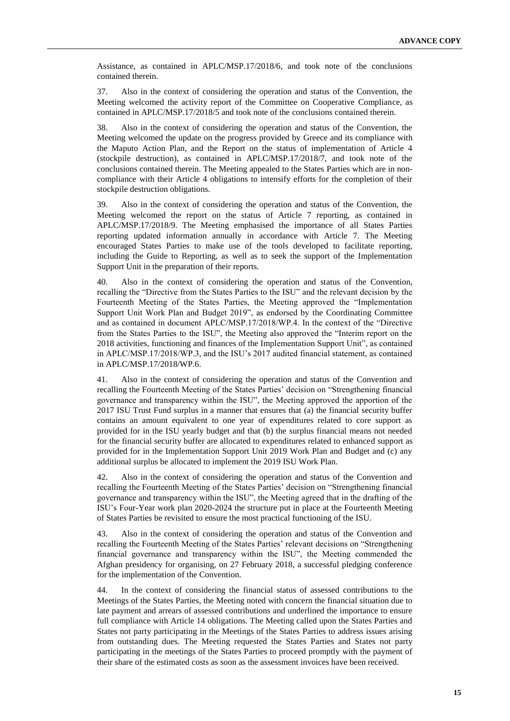Assistance, as contained in APLC/MSP.17/2018/6, and took note of the conclusions contained therein.

37. Also in the context of considering the operation and status of the Convention, the Meeting welcomed the activity report of the Committee on Cooperative Compliance, as contained in APLC/MSP.17/2018/5 and took note of the conclusions contained therein.

38. Also in the context of considering the operation and status of the Convention, the Meeting welcomed the update on the progress provided by Greece and its compliance with the Maputo Action Plan, and the Report on the status of implementation of Article 4 (stockpile destruction), as contained in APLC/MSP.17/2018/7, and took note of the conclusions contained therein. The Meeting appealed to the States Parties which are in noncompliance with their Article 4 obligations to intensify efforts for the completion of their stockpile destruction obligations.

39. Also in the context of considering the operation and status of the Convention, the Meeting welcomed the report on the status of Article 7 reporting, as contained in APLC/MSP.17/2018/9. The Meeting emphasised the importance of all States Parties reporting updated information annually in accordance with Article 7. The Meeting encouraged States Parties to make use of the tools developed to facilitate reporting, including the Guide to Reporting, as well as to seek the support of the Implementation Support Unit in the preparation of their reports.

40. Also in the context of considering the operation and status of the Convention, recalling the "Directive from the States Parties to the ISU" and the relevant decision by the Fourteenth Meeting of the States Parties, the Meeting approved the "Implementation Support Unit Work Plan and Budget 2019", as endorsed by the Coordinating Committee and as contained in document APLC/MSP.17/2018/WP.4. In the context of the "Directive from the States Parties to the ISU", the Meeting also approved the "Interim report on the 2018 activities, functioning and finances of the Implementation Support Unit", as contained in APLC/MSP.17/2018/WP.3, and the ISU's 2017 audited financial statement, as contained in APLC/MSP.17/2018/WP.6.

41. Also in the context of considering the operation and status of the Convention and recalling the Fourteenth Meeting of the States Parties' decision on "Strengthening financial governance and transparency within the ISU", the Meeting approved the apportion of the 2017 ISU Trust Fund surplus in a manner that ensures that (a) the financial security buffer contains an amount equivalent to one year of expenditures related to core support as provided for in the ISU yearly budget and that (b) the surplus financial means not needed for the financial security buffer are allocated to expenditures related to enhanced support as provided for in the Implementation Support Unit 2019 Work Plan and Budget and (c) any additional surplus be allocated to implement the 2019 ISU Work Plan.

42. Also in the context of considering the operation and status of the Convention and recalling the Fourteenth Meeting of the States Parties' decision on "Strengthening financial governance and transparency within the ISU", the Meeting agreed that in the drafting of the ISU's Four-Year work plan 2020-2024 the structure put in place at the Fourteenth Meeting of States Parties be revisited to ensure the most practical functioning of the ISU.

43. Also in the context of considering the operation and status of the Convention and recalling the Fourteenth Meeting of the States Parties' relevant decisions on "Strengthening financial governance and transparency within the ISU", the Meeting commended the Afghan presidency for organising, on 27 February 2018, a successful pledging conference for the implementation of the Convention.

44. In the context of considering the financial status of assessed contributions to the Meetings of the States Parties, the Meeting noted with concern the financial situation due to late payment and arrears of assessed contributions and underlined the importance to ensure full compliance with Article 14 obligations. The Meeting called upon the States Parties and States not party participating in the Meetings of the States Parties to address issues arising from outstanding dues. The Meeting requested the States Parties and States not party participating in the meetings of the States Parties to proceed promptly with the payment of their share of the estimated costs as soon as the assessment invoices have been received.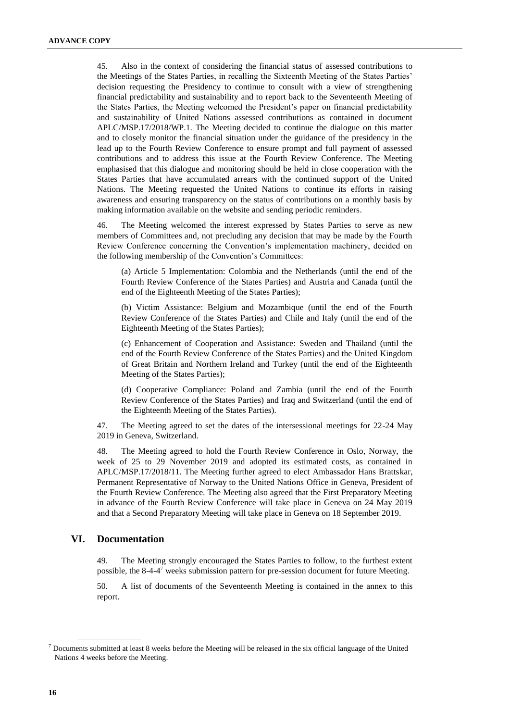45. Also in the context of considering the financial status of assessed contributions to the Meetings of the States Parties, in recalling the Sixteenth Meeting of the States Parties' decision requesting the Presidency to continue to consult with a view of strengthening financial predictability and sustainability and to report back to the Seventeenth Meeting of the States Parties, the Meeting welcomed the President's paper on financial predictability and sustainability of United Nations assessed contributions as contained in document APLC/MSP.17/2018/WP.1. The Meeting decided to continue the dialogue on this matter and to closely monitor the financial situation under the guidance of the presidency in the lead up to the Fourth Review Conference to ensure prompt and full payment of assessed contributions and to address this issue at the Fourth Review Conference. The Meeting emphasised that this dialogue and monitoring should be held in close cooperation with the States Parties that have accumulated arrears with the continued support of the United Nations. The Meeting requested the United Nations to continue its efforts in raising awareness and ensuring transparency on the status of contributions on a monthly basis by making information available on the website and sending periodic reminders.

46. The Meeting welcomed the interest expressed by States Parties to serve as new members of Committees and, not precluding any decision that may be made by the Fourth Review Conference concerning the Convention's implementation machinery, decided on the following membership of the Convention's Committees:

(a) Article 5 Implementation: Colombia and the Netherlands (until the end of the Fourth Review Conference of the States Parties) and Austria and Canada (until the end of the Eighteenth Meeting of the States Parties);

(b) Victim Assistance: Belgium and Mozambique (until the end of the Fourth Review Conference of the States Parties) and Chile and Italy (until the end of the Eighteenth Meeting of the States Parties);

(c) Enhancement of Cooperation and Assistance: Sweden and Thailand (until the end of the Fourth Review Conference of the States Parties) and the United Kingdom of Great Britain and Northern Ireland and Turkey (until the end of the Eighteenth Meeting of the States Parties);

(d) Cooperative Compliance: Poland and Zambia (until the end of the Fourth Review Conference of the States Parties) and Iraq and Switzerland (until the end of the Eighteenth Meeting of the States Parties).

47. The Meeting agreed to set the dates of the intersessional meetings for 22-24 May 2019 in Geneva, Switzerland.

48. The Meeting agreed to hold the Fourth Review Conference in Oslo, Norway, the week of 25 to 29 November 2019 and adopted its estimated costs, as contained in APLC/MSP.17/2018/11. The Meeting further agreed to elect Ambassador Hans Brattskar, Permanent Representative of Norway to the United Nations Office in Geneva, President of the Fourth Review Conference. The Meeting also agreed that the First Preparatory Meeting in advance of the Fourth Review Conference will take place in Geneva on 24 May 2019 and that a Second Preparatory Meeting will take place in Geneva on 18 September 2019.

#### **VI. Documentation**

49. The Meeting strongly encouraged the States Parties to follow, to the furthest extent possible, the 8-4-4<sup>7</sup> weeks submission pattern for pre-session document for future Meeting.

50. A list of documents of the Seventeenth Meeting is contained in the annex to this report.

<sup>7</sup> Documents submitted at least 8 weeks before the Meeting will be released in the six official language of the United Nations 4 weeks before the Meeting.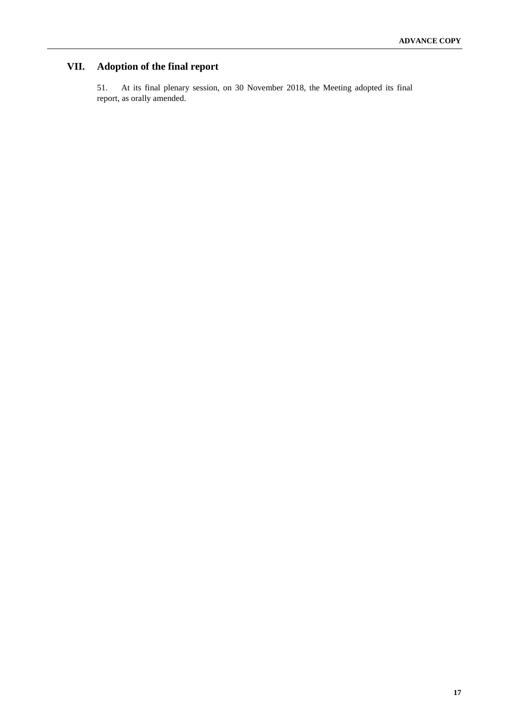# **VII. Adoption of the final report**

51. At its final plenary session, on 30 November 2018, the Meeting adopted its final report, as orally amended.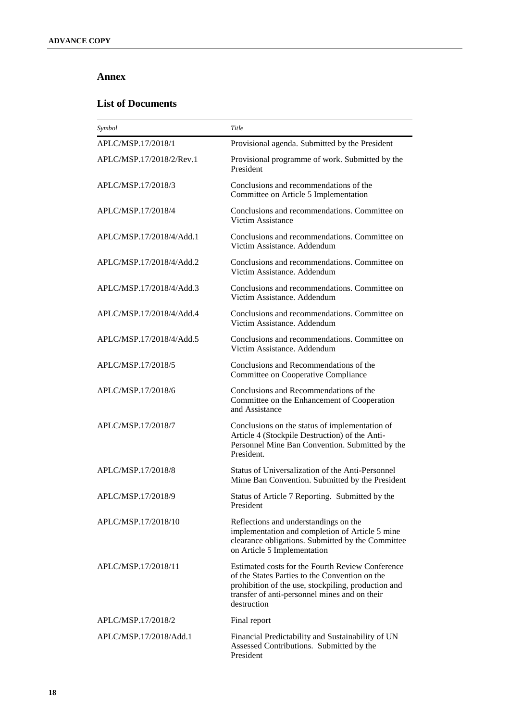### **Annex**

### **List of Documents**

| Symbol                   | Title                                                                                                                                                                                                                     |
|--------------------------|---------------------------------------------------------------------------------------------------------------------------------------------------------------------------------------------------------------------------|
| APLC/MSP.17/2018/1       | Provisional agenda. Submitted by the President                                                                                                                                                                            |
| APLC/MSP.17/2018/2/Rev.1 | Provisional programme of work. Submitted by the<br>President                                                                                                                                                              |
| APLC/MSP.17/2018/3       | Conclusions and recommendations of the<br>Committee on Article 5 Implementation                                                                                                                                           |
| APLC/MSP.17/2018/4       | Conclusions and recommendations. Committee on<br>Victim Assistance                                                                                                                                                        |
| APLC/MSP.17/2018/4/Add.1 | Conclusions and recommendations. Committee on<br>Victim Assistance, Addendum                                                                                                                                              |
| APLC/MSP.17/2018/4/Add.2 | Conclusions and recommendations. Committee on<br>Victim Assistance. Addendum                                                                                                                                              |
| APLC/MSP.17/2018/4/Add.3 | Conclusions and recommendations. Committee on<br>Victim Assistance, Addendum                                                                                                                                              |
| APLC/MSP.17/2018/4/Add.4 | Conclusions and recommendations. Committee on<br>Victim Assistance. Addendum                                                                                                                                              |
| APLC/MSP.17/2018/4/Add.5 | Conclusions and recommendations. Committee on<br>Victim Assistance, Addendum                                                                                                                                              |
| APLC/MSP.17/2018/5       | Conclusions and Recommendations of the<br>Committee on Cooperative Compliance                                                                                                                                             |
| APLC/MSP.17/2018/6       | Conclusions and Recommendations of the<br>Committee on the Enhancement of Cooperation<br>and Assistance                                                                                                                   |
| APLC/MSP.17/2018/7       | Conclusions on the status of implementation of<br>Article 4 (Stockpile Destruction) of the Anti-<br>Personnel Mine Ban Convention. Submitted by the<br>President.                                                         |
| APLC/MSP.17/2018/8       | Status of Universalization of the Anti-Personnel<br>Mime Ban Convention. Submitted by the President                                                                                                                       |
| APLC/MSP.17/2018/9       | Status of Article 7 Reporting. Submitted by the<br>President                                                                                                                                                              |
| APLC/MSP.17/2018/10      | Reflections and understandings on the<br>implementation and completion of Article 5 mine<br>clearance obligations. Submitted by the Committee<br>on Article 5 Implementation                                              |
| APLC/MSP.17/2018/11      | Estimated costs for the Fourth Review Conference<br>of the States Parties to the Convention on the<br>prohibition of the use, stockpiling, production and<br>transfer of anti-personnel mines and on their<br>destruction |
| APLC/MSP.17/2018/2       | Final report                                                                                                                                                                                                              |
| APLC/MSP.17/2018/Add.1   | Financial Predictability and Sustainability of UN<br>Assessed Contributions. Submitted by the<br>President                                                                                                                |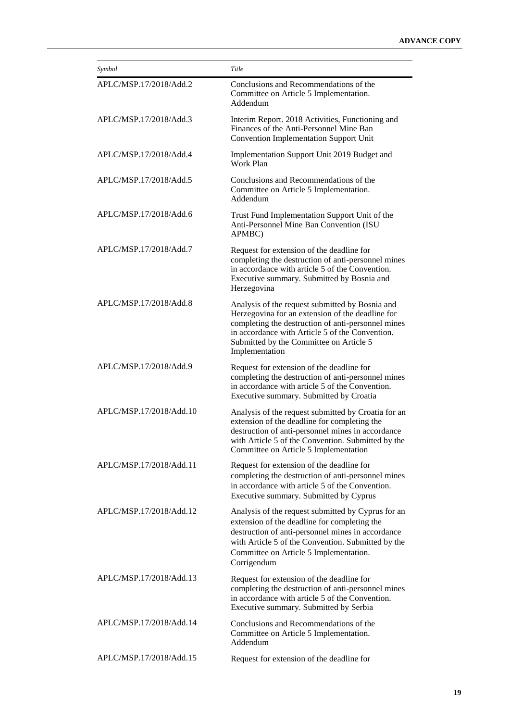| Symbol                  | Title                                                                                                                                                                                                                                                                     |
|-------------------------|---------------------------------------------------------------------------------------------------------------------------------------------------------------------------------------------------------------------------------------------------------------------------|
| APLC/MSP.17/2018/Add.2  | Conclusions and Recommendations of the<br>Committee on Article 5 Implementation.<br>Addendum                                                                                                                                                                              |
| APLC/MSP.17/2018/Add.3  | Interim Report. 2018 Activities, Functioning and<br>Finances of the Anti-Personnel Mine Ban<br><b>Convention Implementation Support Unit</b>                                                                                                                              |
| APLC/MSP.17/2018/Add.4  | Implementation Support Unit 2019 Budget and<br>Work Plan                                                                                                                                                                                                                  |
| APLC/MSP.17/2018/Add.5  | Conclusions and Recommendations of the<br>Committee on Article 5 Implementation.<br>Addendum                                                                                                                                                                              |
| APLC/MSP.17/2018/Add.6  | Trust Fund Implementation Support Unit of the<br>Anti-Personnel Mine Ban Convention (ISU<br>APMBC)                                                                                                                                                                        |
| APLC/MSP.17/2018/Add.7  | Request for extension of the deadline for<br>completing the destruction of anti-personnel mines<br>in accordance with article 5 of the Convention.<br>Executive summary. Submitted by Bosnia and<br>Herzegovina                                                           |
| APLC/MSP.17/2018/Add.8  | Analysis of the request submitted by Bosnia and<br>Herzegovina for an extension of the deadline for<br>completing the destruction of anti-personnel mines<br>in accordance with Article 5 of the Convention.<br>Submitted by the Committee on Article 5<br>Implementation |
| APLC/MSP.17/2018/Add.9  | Request for extension of the deadline for<br>completing the destruction of anti-personnel mines<br>in accordance with article 5 of the Convention.<br>Executive summary. Submitted by Croatia                                                                             |
| APLC/MSP.17/2018/Add.10 | Analysis of the request submitted by Croatia for an<br>extension of the deadline for completing the<br>destruction of anti-personnel mines in accordance<br>with Article 5 of the Convention. Submitted by the<br>Committee on Article 5 Implementation                   |
| APLC/MSP.17/2018/Add.11 | Request for extension of the deadline for<br>completing the destruction of anti-personnel mines<br>in accordance with article 5 of the Convention.<br>Executive summary. Submitted by Cyprus                                                                              |
| APLC/MSP.17/2018/Add.12 | Analysis of the request submitted by Cyprus for an<br>extension of the deadline for completing the<br>destruction of anti-personnel mines in accordance<br>with Article 5 of the Convention. Submitted by the<br>Committee on Article 5 Implementation.<br>Corrigendum    |
| APLC/MSP.17/2018/Add.13 | Request for extension of the deadline for<br>completing the destruction of anti-personnel mines<br>in accordance with article 5 of the Convention.<br>Executive summary. Submitted by Serbia                                                                              |
| APLC/MSP.17/2018/Add.14 | Conclusions and Recommendations of the<br>Committee on Article 5 Implementation.<br>Addendum                                                                                                                                                                              |
| APLC/MSP.17/2018/Add.15 | Request for extension of the deadline for                                                                                                                                                                                                                                 |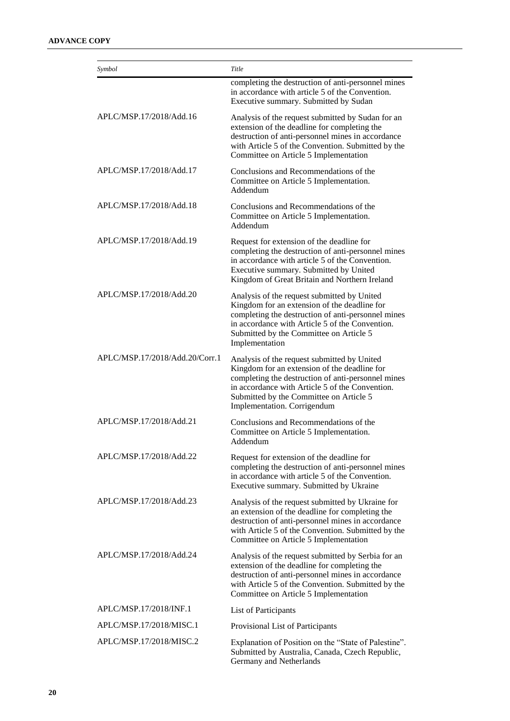| Symbol                         | Title                                                                                                                                                                                                                                                                          |
|--------------------------------|--------------------------------------------------------------------------------------------------------------------------------------------------------------------------------------------------------------------------------------------------------------------------------|
|                                | completing the destruction of anti-personnel mines<br>in accordance with article 5 of the Convention.<br>Executive summary. Submitted by Sudan                                                                                                                                 |
| APLC/MSP.17/2018/Add.16        | Analysis of the request submitted by Sudan for an<br>extension of the deadline for completing the<br>destruction of anti-personnel mines in accordance<br>with Article 5 of the Convention. Submitted by the<br>Committee on Article 5 Implementation                          |
| APLC/MSP.17/2018/Add.17        | Conclusions and Recommendations of the<br>Committee on Article 5 Implementation.<br>Addendum                                                                                                                                                                                   |
| APLC/MSP.17/2018/Add.18        | Conclusions and Recommendations of the<br>Committee on Article 5 Implementation.<br>Addendum                                                                                                                                                                                   |
| APLC/MSP.17/2018/Add.19        | Request for extension of the deadline for<br>completing the destruction of anti-personnel mines<br>in accordance with article 5 of the Convention.<br>Executive summary. Submitted by United<br>Kingdom of Great Britain and Northern Ireland                                  |
| APLC/MSP.17/2018/Add.20        | Analysis of the request submitted by United<br>Kingdom for an extension of the deadline for<br>completing the destruction of anti-personnel mines<br>in accordance with Article 5 of the Convention.<br>Submitted by the Committee on Article 5<br>Implementation              |
| APLC/MSP.17/2018/Add.20/Corr.1 | Analysis of the request submitted by United<br>Kingdom for an extension of the deadline for<br>completing the destruction of anti-personnel mines<br>in accordance with Article 5 of the Convention.<br>Submitted by the Committee on Article 5<br>Implementation. Corrigendum |
| APLC/MSP.17/2018/Add.21        | Conclusions and Recommendations of the<br>Committee on Article 5 Implementation.<br>Addendum                                                                                                                                                                                   |
| APLC/MSP.17/2018/Add.22        | Request for extension of the deadline for<br>completing the destruction of anti-personnel mines<br>in accordance with article 5 of the Convention.<br>Executive summary. Submitted by Ukraine                                                                                  |
| APLC/MSP.17/2018/Add.23        | Analysis of the request submitted by Ukraine for<br>an extension of the deadline for completing the<br>destruction of anti-personnel mines in accordance<br>with Article 5 of the Convention. Submitted by the<br>Committee on Article 5 Implementation                        |
| APLC/MSP.17/2018/Add.24        | Analysis of the request submitted by Serbia for an<br>extension of the deadline for completing the<br>destruction of anti-personnel mines in accordance<br>with Article 5 of the Convention. Submitted by the<br>Committee on Article 5 Implementation                         |
| APLC/MSP.17/2018/INF.1         | List of Participants                                                                                                                                                                                                                                                           |
| APLC/MSP.17/2018/MISC.1        | Provisional List of Participants                                                                                                                                                                                                                                               |
| APLC/MSP.17/2018/MISC.2        | Explanation of Position on the "State of Palestine".<br>Submitted by Australia, Canada, Czech Republic,<br>Germany and Netherlands                                                                                                                                             |